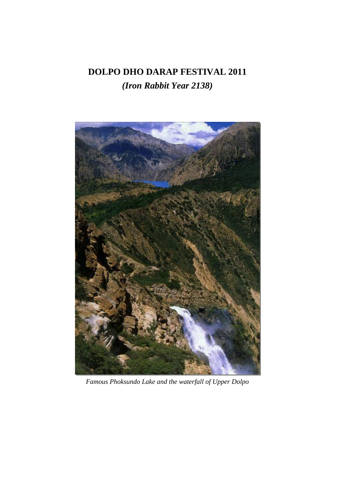# **DOLPO DHO DARAP FESTIVAL 2011**  *(Iron Rabbit Year 2138)*



*Famous Phoksundo Lake and the waterfall of Upper Dolpo*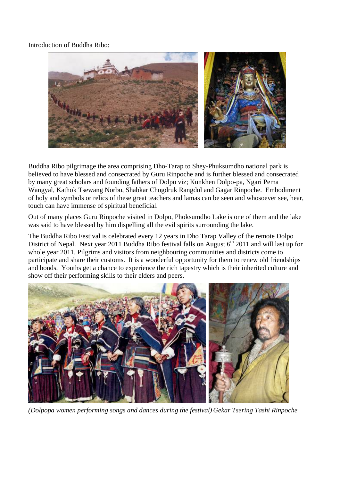Introduction of Buddha Ribo:



Buddha Ribo pilgrimage the area comprising Dho-Tarap to Shey-Phuksumdho national park is believed to have blessed and consecrated by Guru Rinpoche and is further blessed and consecrated by many great scholars and founding fathers of Dolpo viz; Kunkhen Dolpo-pa, Ngari Pema Wangyal, Kathok Tsewang Norbu, Shabkar Chogdruk Rangdol and Gagar Rinpoche. Embodiment of holy and symbols or relics of these great teachers and lamas can be seen and whosoever see, hear, touch can have immense of spiritual beneficial.

Out of many places Guru Rinpoche visited in Dolpo, Phoksumdho Lake is one of them and the lake was said to have blessed by him dispelling all the evil spirits surrounding the lake.

The Buddha Ribo Festival is celebrated every 12 years in Dho Tarap Valley of the remote Dolpo District of Nepal. Next year 2011 Buddha Ribo festival falls on August  $6<sup>th</sup>$  2011 and will last up for whole year 2011. Pilgrims and visitors from neighbouring communities and districts come to participate and share their customs. It is a wonderful opportunity for them to renew old friendships and bonds. Youths get a chance to experience the rich tapestry which is their inherited culture and show off their performing skills to their elders and peers.



*(Dolpopa women performing songs and dances during the festival) Gekar Tsering Tashi Rinpoche*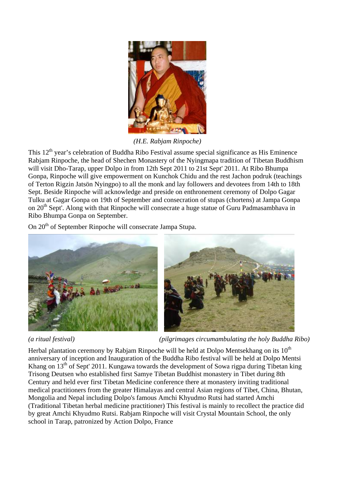

*(H.E. Rabjam Rinpoche)*

This  $12<sup>th</sup>$  year's celebration of Buddha Ribo Festival assume special significance as His Eminence Rabiam Rinpoche, the head of Shechen Monastery of the Nyingmapa tradition of Tibetan Buddhism will visit Dho-Tarap, upper Dolpo in from 12th Sept 2011 to 21st Sept' 2011. At Ribo Bhumpa Gonpa, Rinpoche will give empowerment on Kunchok Chidu and the rest Jachon podruk (teachings of Terton Rigzin Jatsön Nyingpo) to all the monk and lay followers and devotees from 14th to 18th Sept. Beside Rinpoche will acknowledge and preside on enthronement ceremony of Dolpo Gagar Tulku at Gagar Gonpa on 19th of September and consecration of stupas (chortens) at Jampa Gonpa on 20<sup>th</sup> Sept'. Along with that Rinpoche will consecrate a huge statue of Guru Padmasambhava in Ribo Bhumpa Gonpa on September.

On 20<sup>th</sup> of September Rinpoche will consecrate Jampa Stupa.



*(a ritual festival) (pilgrimages circumambulating the holy Buddha Ribo)* 

Herbal plantation ceremony by Rabjam Rinpoche will be held at Dolpo Mentsekhang on its  $10<sup>th</sup>$ anniversary of inception and Inauguration of the Buddha Ribo festival will be held at Dolpo Mentsi Khang on  $13<sup>th</sup>$  of Sept' 2011. Kungawa towards the development of Sowa rigpa during Tibetan king Trisong Deutsen who established first Samye Tibetan Buddhist monastery in Tibet during 8th Century and held ever first Tibetan Medicine conference there at monastery inviting traditional medical practitioners from the greater Himalayas and central Asian regions of Tibet, China, Bhutan, Mongolia and Nepal including Dolpo's famous Amchi Khyudmo Rutsi had started Amchi (Traditional Tibetan herbal medicine practitioner) This festival is mainly to recollect the practice did by great Amchi Khyudmo Rutsi. Rabjam Rinpoche will visit Crystal Mountain School, the only school in Tarap, patronized by Action Dolpo, France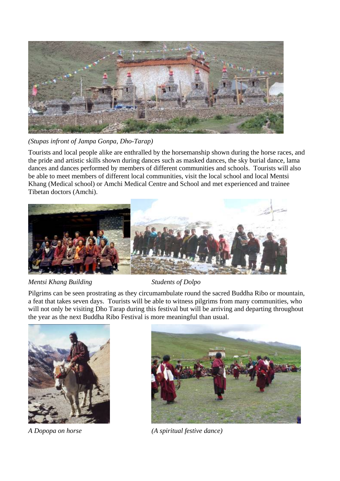

*(Stupas infront of Jampa Gonpa, Dho-Tarap)* 

Tourists and local people alike are enthralled by the horsemanship shown during the horse races, and the pride and artistic skills shown during dances such as masked dances, the sky burial dance, lama dances and dances performed by members of different communities and schools. Tourists will also be able to meet members of different local communities, visit the local school and local Mentsi Khang (Medical school) or Amchi Medical Centre and School and met experienced and trainee Tibetan doctors (Amchi).



*Mentsi Khang Building Students of Dolpo* 

Pilgrims can be seen prostrating as they circumambulate round the sacred Buddha Ribo or mountain, a feat that takes seven days. Tourists will be able to witness pilgrims from many communities, who will not only be visiting Dho Tarap during this festival but will be arriving and departing throughout the year as the next Buddha Ribo Festival is more meaningful than usual.





*A Dopopa on horse (A spiritual festive dance)*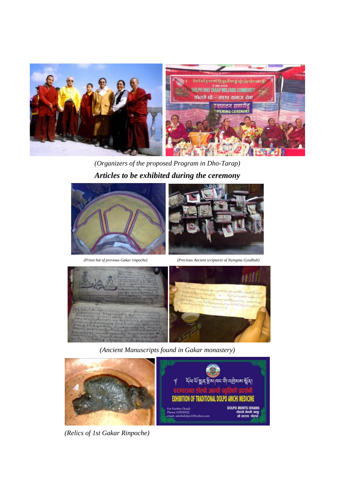

*(Organizers of the proposed Program in Dho-Tarap) Articles to be exhibited during the ceremony* 



 *(Priest hat of previous Gakar rinpoche) (Precious Ancient scriptures of Nyingma Gyudbub)* 



*(Ancient Manuscripts found in Gakar monastery)* 



*(Relics of 1st Gakar Rinpoche)*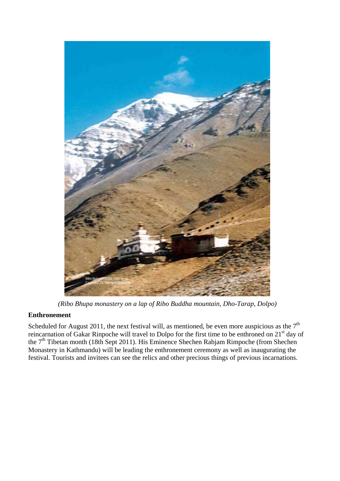

*(Ribo Bhupa monastery on a lap of Ribo Buddha mountain, Dho-Tarap, Dolpo)*

## **Enthronement**

Scheduled for August 2011, the next festival will, as mentioned, be even more auspicious as the  $7<sup>th</sup>$ reincarnation of Gakar Rinpoche will travel to Dolpo for the first time to be enthroned on 21<sup>st</sup> day of the 7th Tibetan month (18th Sept 2011). His Eminence Shechen Rabjam Rimpoche (from Shechen Monastery in Kathmandu) will be leading the enthronement ceremony as well as inaugurating the festival. Tourists and invitees can see the relics and other precious things of previous incarnations.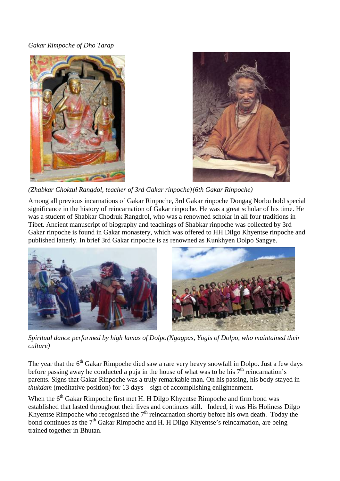## *Gakar Rimpoche of Dho Tarap*





*(Zhabkar Choktul Rangdol, teacher of 3rd Gakar rinpoche) (6th Gakar Rinpoche)* 

Among all previous incarnations of Gakar Rinpoche, 3rd Gakar rinpoche Dongag Norbu hold special significance in the history of reincarnation of Gakar rinpoche. He was a great scholar of his time. He was a student of Shabkar Chodruk Rangdrol, who was a renowned scholar in all four traditions in Tibet. Ancient manuscript of biography and teachings of Shabkar rinpoche was collected by 3rd Gakar rinpoche is found in Gakar monastery, which was offered to HH Dilgo Khyentse rinpoche and published latterly. In brief 3rd Gakar rinpoche is as renowned as Kunkhyen Dolpo Sangye.



*Spiritual dance performed by high lamas of Dolpo (Ngagpas, Yogis of Dolpo, who maintained their culture)* 

The year that the  $6<sup>th</sup> Gakar Rimpoche died saw a rare very heavy snowfall in Dolpo. Just a few days$ before passing away he conducted a puja in the house of what was to be his  $7<sup>th</sup>$  reincarnation's parents. Signs that Gakar Rinpoche was a truly remarkable man. On his passing, his body stayed in *thukdam* (meditative position) for 13 days – sign of accomplishing enlightenment.

When the 6<sup>th</sup> Gakar Rimpoche first met H. H Dilgo Khyentse Rimpoche and firm bond was established that lasted throughout their lives and continues still. Indeed, it was His Holiness Dilgo Khyentse Rimpoche who recognised the  $7<sup>th</sup>$  reincarnation shortly before his own death. Today the bond continues as the  $7<sup>th</sup>$  Gakar Rimpoche and H. H Dilgo Khyentse's reincarnation, are being trained together in Bhutan.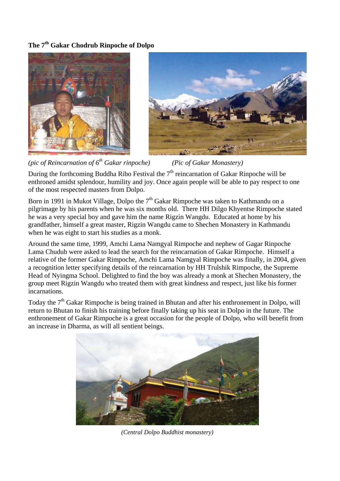## **The 7th Gakar Chodrub Rinpoche of Dolpo**





*(pic of Reincarnation of 6th Gakar rinpoche) (Pic of Gakar Monastery)* 

During the forthcoming Buddha Ribo Festival the  $7<sup>th</sup>$  reincarnation of Gakar Rinpoche will be enthroned amidst splendour, humility and joy. Once again people will be able to pay respect to one of the most respected masters from Dolpo.

Born in 1991 in Mukot Village, Dolpo the  $7<sup>th</sup>$  Gakar Rimpoche was taken to Kathmandu on a pilgrimage by his parents when he was six months old. There HH Dilgo Khyentse Rimpoche stated he was a very special boy and gave him the name Rigzin Wangdu. Educated at home by his grandfather, himself a great master, Rigzin Wangdu came to Shechen Monastery in Kathmandu when he was eight to start his studies as a monk.

Around the same time, 1999, Amchi Lama Namgyal Rimpoche and nephew of Gagar Rinpoche Lama Chudub were asked to lead the search for the reincarnation of Gakar Rimpoche. Himself a relative of the former Gakar Rimpoche, Amchi Lama Namgyal Rimpoche was finally, in 2004, given a recognition letter specifying details of the reincarnation by HH Trulshik Rimpoche, the Supreme Head of Nyingma School. Delighted to find the boy was already a monk at Shechen Monastery, the group meet Rigzin Wangdu who treated them with great kindness and respect, just like his former incarnations.

Today the  $7<sup>th</sup>$  Gakar Rimpoche is being trained in Bhutan and after his enthronement in Dolpo, will return to Bhutan to finish his training before finally taking up his seat in Dolpo in the future. The enthronement of Gakar Rimpoche is a great occasion for the people of Dolpo, who will benefit from an increase in Dharma, as will all sentient beings.



*(Central Dolpo Buddhist monastery)*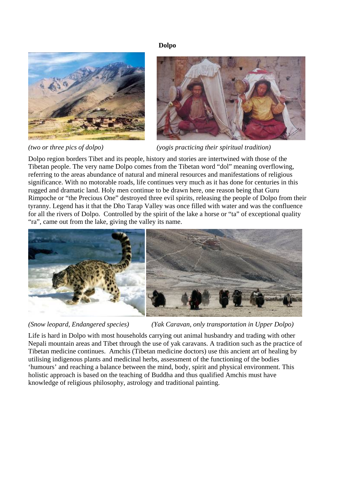#### **Dolpo**





*(two or three pics of dolpo) (yogis practicing their spiritual tradition)* 

Dolpo region borders Tibet and its people, history and stories are intertwined with those of the Tibetan people. The very name Dolpo comes from the Tibetan word "dol" meaning overflowing, referring to the areas abundance of natural and mineral resources and manifestations of religious significance. With no motorable roads, life continues very much as it has done for centuries in this rugged and dramatic land. Holy men continue to be drawn here, one reason being that Guru Rimpoche or "the Precious One" destroyed three evil spirits, releasing the people of Dolpo from their tyranny. Legend has it that the Dho Tarap Valley was once filled with water and was the confluence for all the rivers of Dolpo. Controlled by the spirit of the lake a horse or "ta" of exceptional quality "ra", came out from the lake, giving the valley its name.



*(Snow leopard, Endangered species) (Yak Caravan, only transportation in Upper Dolpo)* 

Life is hard in Dolpo with most households carrying out animal husbandry and trading with other Nepali mountain areas and Tibet through the use of yak caravans. A tradition such as the practice of Tibetan medicine continues. Amchis (Tibetan medicine doctors) use this ancient art of healing by utilising indigenous plants and medicinal herbs, assessment of the functioning of the bodies 'humours' and reaching a balance between the mind, body, spirit and physical environment. This holistic approach is based on the teaching of Buddha and thus qualified Amchis must have knowledge of religious philosophy, astrology and traditional painting.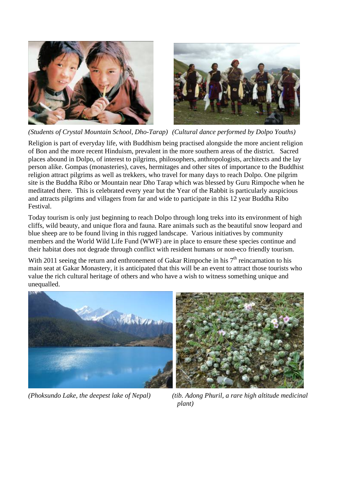



*(Students of Crystal Mountain School, Dho-Tarap) (Cultural dance performed by Dolpo Youths)*

Religion is part of everyday life, with Buddhism being practised alongside the more ancient religion of Bon and the more recent Hinduism, prevalent in the more southern areas of the district. Sacred places abound in Dolpo, of interest to pilgrims, philosophers, anthropologists, architects and the lay person alike. Gompas (monasteries), caves, hermitages and other sites of importance to the Buddhist religion attract pilgrims as well as trekkers, who travel for many days to reach Dolpo. One pilgrim site is the Buddha Ribo or Mountain near Dho Tarap which was blessed by Guru Rimpoche when he meditated there. This is celebrated every year but the Year of the Rabbit is particularly auspicious and attracts pilgrims and villagers from far and wide to participate in this 12 year Buddha Ribo Festival.

Today tourism is only just beginning to reach Dolpo through long treks into its environment of high cliffs, wild beauty, and unique flora and fauna. Rare animals such as the beautiful snow leopard and blue sheep are to be found living in this rugged landscape. Various initiatives by community members and the World Wild Life Fund (WWF) are in place to ensure these species continue and their habitat does not degrade through conflict with resident humans or non-eco friendly tourism.

With 2011 seeing the return and enthronement of Gakar Rimpoche in his  $7<sup>th</sup>$  reincarnation to his main seat at Gakar Monastery, it is anticipated that this will be an event to attract those tourists who value the rich cultural heritage of others and who have a wish to witness something unique and unequalled.







*(Phoksundo Lake, the deepest lake of Nepal) (tib. Adong Phuril, a rare high altitude medicinal plant)*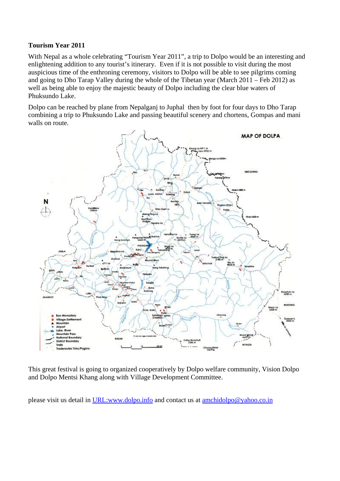#### **Tourism Year 2011**

With Nepal as a whole celebrating "Tourism Year 2011", a trip to Dolpo would be an interesting and enlightening addition to any tourist's itinerary. Even if it is not possible to visit during the most auspicious time of the enthroning ceremony, visitors to Dolpo will be able to see pilgrims coming and going to Dho Tarap Valley during the whole of the Tibetan year (March 2011 – Feb 2012) as well as being able to enjoy the majestic beauty of Dolpo including the clear blue waters of Phuksundo Lake.

Dolpo can be reached by plane from Nepalganj to Juphal then by foot for four days to Dho Tarap combining a trip to Phuksundo Lake and passing beautiful scenery and chortens, Gompas and mani walls on route.



This great festival is going to organized cooperatively by Dolpo welfare community, Vision Dolpo and Dolpo Mentsi Khang along with Village Development Committee.

please visit us detail in URL:www.dolpo.info and contact us at amchidolpo@yahoo.co.in